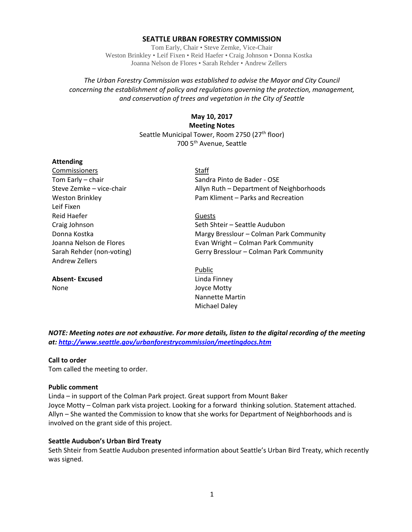### **SEATTLE URBAN FORESTRY COMMISSION**

Tom Early, Chair • Steve Zemke, Vice-Chair Weston Brinkley • Leif Fixen • Reid Haefer • Craig Johnson • Donna Kostka Joanna Nelson de Flores • Sarah Rehder • Andrew Zellers

## *The Urban Forestry Commission was established to advise the Mayor and City Council concerning the establishment of policy and regulations governing the protection, management, and conservation of trees and vegetation in the City of Seattle*

# **May 10, 2017 Meeting Notes** Seattle Municipal Tower, Room 2750 (27<sup>th</sup> floor) 700 5th Avenue, Seattle

### **Attending**

Commissioners Staff Leif Fixen Reid Haefer Guests Andrew Zellers

**Absent- Excused** Linda Finney None Joyce Motty

Tom Early – chair Sandra Pinto de Bader - OSE Steve Zemke – vice-chair Allyn Ruth – Department of Neighborhoods Weston Brinkley **Pam Kliment – Parks and Recreation** 

Craig Johnson Seth Shteir – Seattle Audubon Donna Kostka Margy Bresslour – Colman Park Community Joanna Nelson de Flores **Evan Wright – Colman Park Community** Sarah Rehder (non-voting) Gerry Bresslour – Colman Park Community

> Public Nannette Martin Michael Daley

*NOTE: Meeting notes are not exhaustive. For more details, listen to the digital recording of the meeting at:<http://www.seattle.gov/urbanforestrycommission/meetingdocs.htm>*

### **Call to order**

Tom called the meeting to order.

### **Public comment**

Linda – in support of the Colman Park project. Great support from Mount Baker Joyce Motty – Colman park vista project. Looking for a forward thinking solution. Statement attached. Allyn – She wanted the Commission to know that she works for Department of Neighborhoods and is involved on the grant side of this project.

### **Seattle Audubon's Urban Bird Treaty**

Seth Shteir from Seattle Audubon presented information about Seattle's Urban Bird Treaty, which recently was signed.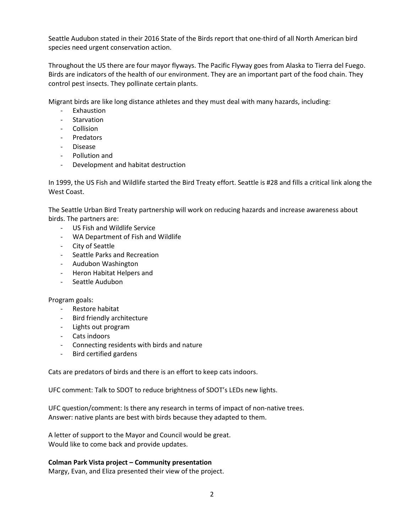Seattle Audubon stated in their 2016 State of the Birds report that one-third of all North American bird species need urgent conservation action.

Throughout the US there are four mayor flyways. The Pacific Flyway goes from Alaska to Tierra del Fuego. Birds are indicators of the health of our environment. They are an important part of the food chain. They control pest insects. They pollinate certain plants.

Migrant birds are like long distance athletes and they must deal with many hazards, including:

- **Exhaustion**
- **Starvation**
- Collision
- Predators
- Disease
- Pollution and
- Development and habitat destruction

In 1999, the US Fish and Wildlife started the Bird Treaty effort. Seattle is #28 and fills a critical link along the West Coast.

The Seattle Urban Bird Treaty partnership will work on reducing hazards and increase awareness about birds. The partners are:

- US Fish and Wildlife Service
- WA Department of Fish and Wildlife
- City of Seattle
- Seattle Parks and Recreation
- Audubon Washington
- Heron Habitat Helpers and
- Seattle Audubon

### Program goals:

- Restore habitat
- Bird friendly architecture
- Lights out program
- Cats indoors
- Connecting residents with birds and nature
- Bird certified gardens

Cats are predators of birds and there is an effort to keep cats indoors.

UFC comment: Talk to SDOT to reduce brightness of SDOT's LEDs new lights.

UFC question/comment: Is there any research in terms of impact of non-native trees. Answer: native plants are best with birds because they adapted to them.

A letter of support to the Mayor and Council would be great. Would like to come back and provide updates.

### **Colman Park Vista project – Community presentation**

Margy, Evan, and Eliza presented their view of the project.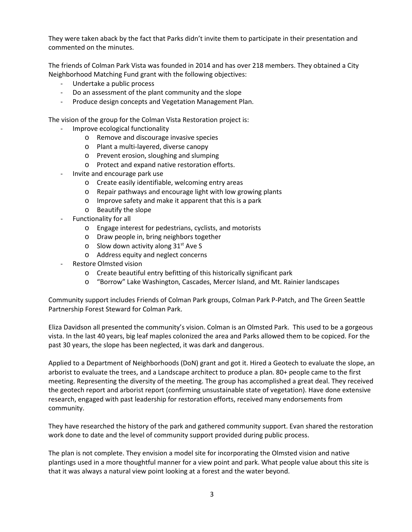They were taken aback by the fact that Parks didn't invite them to participate in their presentation and commented on the minutes.

The friends of Colman Park Vista was founded in 2014 and has over 218 members. They obtained a City Neighborhood Matching Fund grant with the following objectives:

- Undertake a public process
- Do an assessment of the plant community and the slope
- Produce design concepts and Vegetation Management Plan.

The vision of the group for the Colman Vista Restoration project is:

- Improve ecological functionality
	- o Remove and discourage invasive species
	- o Plant a multi-layered, diverse canopy
	- o Prevent erosion, sloughing and slumping
	- o Protect and expand native restoration efforts.
- Invite and encourage park use
	- o Create easily identifiable, welcoming entry areas
	- o Repair pathways and encourage light with low growing plants
	- o Improve safety and make it apparent that this is a park
	- o Beautify the slope
- Functionality for all
	- o Engage interest for pedestrians, cyclists, and motorists
	- o Draw people in, bring neighbors together
	- o Slow down activity along  $31<sup>st</sup>$  Ave S
	- o Address equity and neglect concerns
- Restore Olmsted vision
	- o Create beautiful entry befitting of this historically significant park
	- o "Borrow" Lake Washington, Cascades, Mercer Island, and Mt. Rainier landscapes

Community support includes Friends of Colman Park groups, Colman Park P-Patch, and The Green Seattle Partnership Forest Steward for Colman Park.

Eliza Davidson all presented the community's vision. Colman is an Olmsted Park. This used to be a gorgeous vista. In the last 40 years, big leaf maples colonized the area and Parks allowed them to be copiced. For the past 30 years, the slope has been neglected, it was dark and dangerous.

Applied to a Department of Neighborhoods (DoN) grant and got it. Hired a Geotech to evaluate the slope, an arborist to evaluate the trees, and a Landscape architect to produce a plan. 80+ people came to the first meeting. Representing the diversity of the meeting. The group has accomplished a great deal. They received the geotech report and arborist report (confirming unsustainable state of vegetation). Have done extensive research, engaged with past leadership for restoration efforts, received many endorsements from community.

They have researched the history of the park and gathered community support. Evan shared the restoration work done to date and the level of community support provided during public process.

The plan is not complete. They envision a model site for incorporating the Olmsted vision and native plantings used in a more thoughtful manner for a view point and park. What people value about this site is that it was always a natural view point looking at a forest and the water beyond.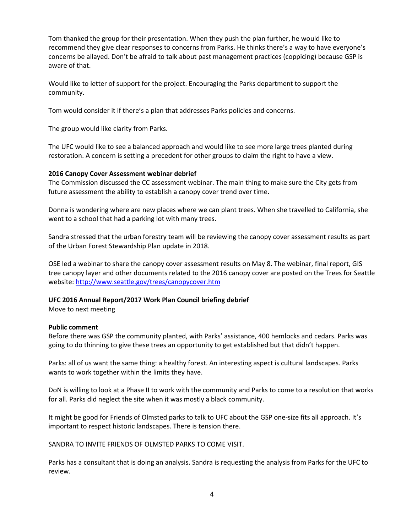Tom thanked the group for their presentation. When they push the plan further, he would like to recommend they give clear responses to concerns from Parks. He thinks there's a way to have everyone's concerns be allayed. Don't be afraid to talk about past management practices (coppicing) because GSP is aware of that.

Would like to letter of support for the project. Encouraging the Parks department to support the community.

Tom would consider it if there's a plan that addresses Parks policies and concerns.

The group would like clarity from Parks.

The UFC would like to see a balanced approach and would like to see more large trees planted during restoration. A concern is setting a precedent for other groups to claim the right to have a view.

### **2016 Canopy Cover Assessment webinar debrief**

The Commission discussed the CC assessment webinar. The main thing to make sure the City gets from future assessment the ability to establish a canopy cover trend over time.

Donna is wondering where are new places where we can plant trees. When she travelled to California, she went to a school that had a parking lot with many trees.

Sandra stressed that the urban forestry team will be reviewing the canopy cover assessment results as part of the Urban Forest Stewardship Plan update in 2018.

OSE led a webinar to share the canopy cover assessment results on May 8. The webinar, final report, GIS tree canopy layer and other documents related to the 2016 canopy cover are posted on the Trees for Seattle website[: http://www.seattle.gov/trees/canopycover.htm](http://www.seattle.gov/trees/canopycover.htm)

### **UFC 2016 Annual Report/2017 Work Plan Council briefing debrief**

Move to next meeting

### **Public comment**

Before there was GSP the community planted, with Parks' assistance, 400 hemlocks and cedars. Parks was going to do thinning to give these trees an opportunity to get established but that didn't happen.

Parks: all of us want the same thing: a healthy forest. An interesting aspect is cultural landscapes. Parks wants to work together within the limits they have.

DoN is willing to look at a Phase II to work with the community and Parks to come to a resolution that works for all. Parks did neglect the site when it was mostly a black community.

It might be good for Friends of Olmsted parks to talk to UFC about the GSP one-size fits all approach. It's important to respect historic landscapes. There is tension there.

SANDRA TO INVITE FRIENDS OF OLMSTED PARKS TO COME VISIT.

Parks has a consultant that is doing an analysis. Sandra is requesting the analysis from Parks for the UFC to review.